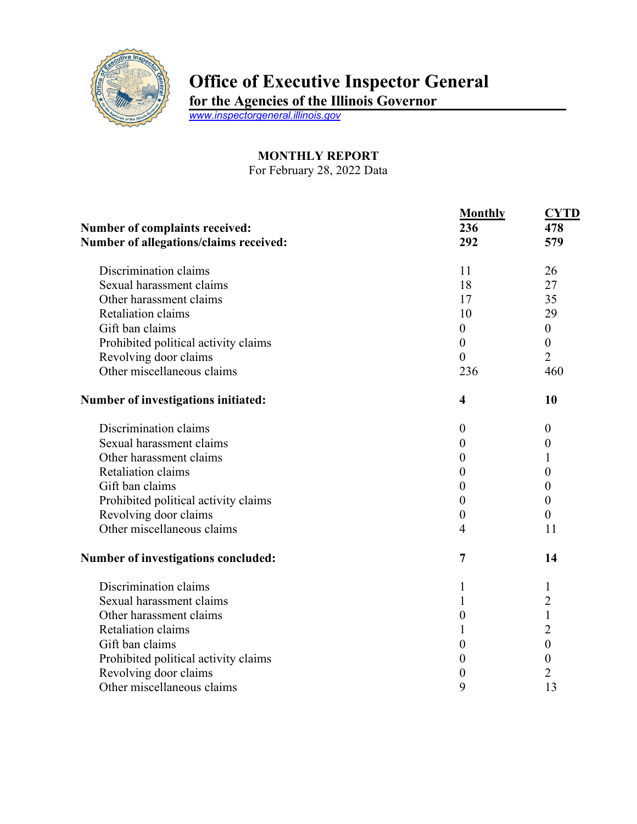

## **Office of Executive Inspector General**

**for the Agencies of the Illinois Governor**

*[www.inspectorgeneral.illinois.gov](http://www.inspectorgeneral.illinois.gov/)*

## **MONTHLY REPORT**

For February 28, 2022 Data

|                                                                          | <b>Monthly</b>          | <b>CYTD</b>      |
|--------------------------------------------------------------------------|-------------------------|------------------|
| Number of complaints received:<br>Number of allegations/claims received: | 236                     | 478<br>579       |
|                                                                          | 292                     |                  |
| Discrimination claims                                                    | 11                      | 26               |
| Sexual harassment claims                                                 | 18                      | 27               |
| Other harassment claims                                                  | 17                      | 35               |
| Retaliation claims                                                       | 10                      | 29               |
| Gift ban claims                                                          | $\boldsymbol{0}$        | $\boldsymbol{0}$ |
| Prohibited political activity claims                                     | $\boldsymbol{0}$        | $\boldsymbol{0}$ |
| Revolving door claims                                                    | $\theta$                | $\overline{2}$   |
| Other miscellaneous claims                                               | 236                     | 460              |
| Number of investigations initiated:                                      | $\overline{\mathbf{4}}$ | 10               |
| Discrimination claims                                                    | $\boldsymbol{0}$        | $\theta$         |
| Sexual harassment claims                                                 | $\boldsymbol{0}$        | $\boldsymbol{0}$ |
| Other harassment claims                                                  | $\overline{0}$          | 1                |
| Retaliation claims                                                       | $\boldsymbol{0}$        | 0                |
| Gift ban claims                                                          | $\boldsymbol{0}$        | 0                |
| Prohibited political activity claims                                     | $\boldsymbol{0}$        | $\boldsymbol{0}$ |
| Revolving door claims                                                    | $\boldsymbol{0}$        | $\overline{0}$   |
| Other miscellaneous claims                                               | $\overline{4}$          | 11               |
| Number of investigations concluded:                                      | $\overline{7}$          | 14               |
| Discrimination claims                                                    | 1                       | 1                |
| Sexual harassment claims                                                 | 1                       | $\overline{c}$   |
| Other harassment claims                                                  | $\boldsymbol{0}$        | $\mathbf{1}$     |
| Retaliation claims                                                       | 1                       | $\overline{2}$   |
| Gift ban claims                                                          | $\boldsymbol{0}$        | $\mathbf{0}$     |
| Prohibited political activity claims                                     | $\boldsymbol{0}$        | $\boldsymbol{0}$ |
| Revolving door claims                                                    | $\boldsymbol{0}$        | $\overline{2}$   |
| Other miscellaneous claims                                               | 9                       | 13               |
|                                                                          |                         |                  |